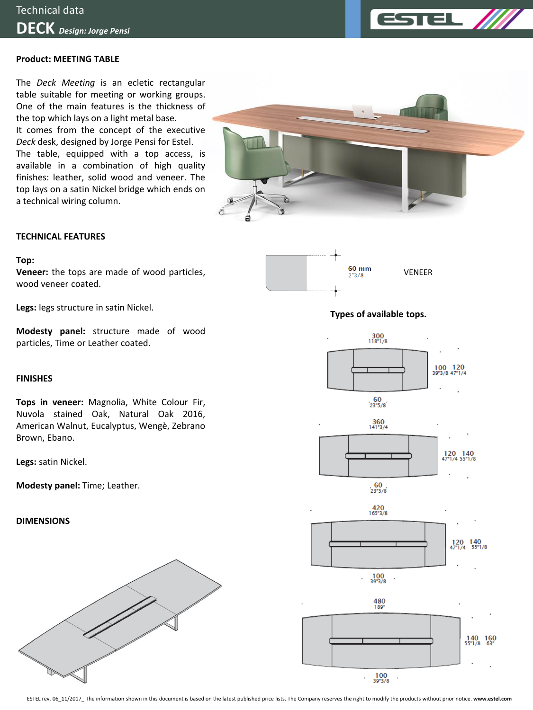

# **Product: MEETING TABLE**

The *Deck Meeting* is an ecletic rectangular table suitable for meeting or working groups. One of the main features is the thickness of the top which lays on a light metal base. It comes from the concept of the executive *Deck* desk, designed by Jorge Pensi for Estel. The table, equipped with a top access, is available in a combination of high quality finishes: leather, solid wood and veneer. The top lays on a satin Nickel bridge which ends on a technical wiring column.



### **TECHNICAL FEATURES**

#### **Top:**

**Veneer:** the tops are made of wood particles, wood veneer coated.

**Legs:** legs structure in satin Nickel.

**Modesty panel:** structure made of wood particles, Time or Leather coated.

#### **FINISHES**

**Tops in veneer:** Magnolia, White Colour Fir, Nuvola stained Oak, Natural Oak 2016, American Walnut, Eucalyptus, Wengè, Zebrano Brown, Ebano.

**Legs:** satin Nickel.

**Modesty panel:** Time; Leather.

# **DIMENSIONS**





# **Types of available tops.**